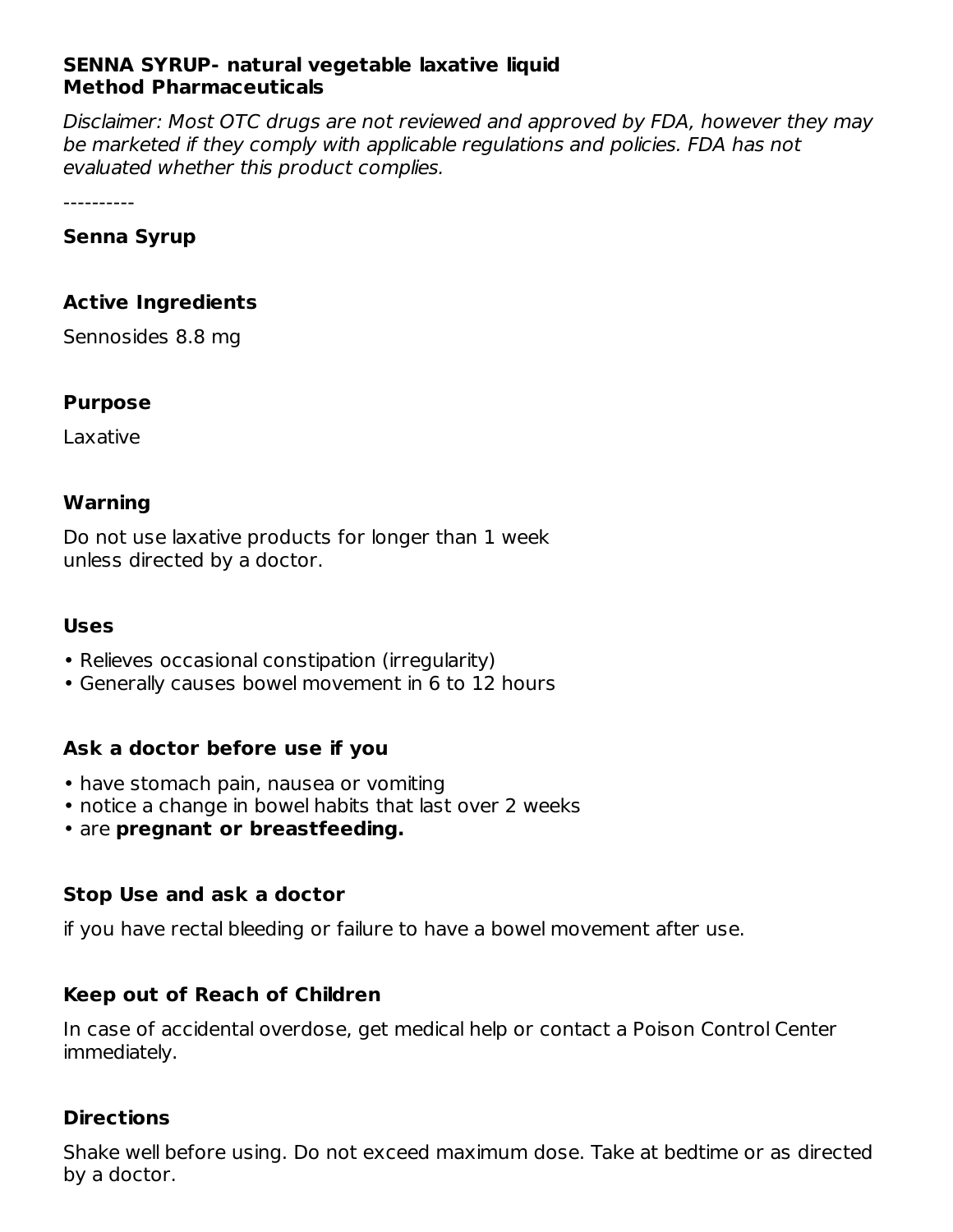## **SENNA SYRUP- natural vegetable laxative liquid Method Pharmaceuticals**

Disclaimer: Most OTC drugs are not reviewed and approved by FDA, however they may be marketed if they comply with applicable regulations and policies. FDA has not evaluated whether this product complies.

----------

## **Senna Syrup**

## **Active Ingredients**

Sennosides 8.8 mg

## **Purpose**

Laxative

#### **Warning**

Do not use laxative products for longer than 1 week unless directed by a doctor.

#### **Uses**

- Relieves occasional constipation (irregularity)
- Generally causes bowel movement in 6 to 12 hours

## **Ask a doctor before use if you**

- have stomach pain, nausea or vomiting
- notice a change in bowel habits that last over 2 weeks
- are **pregnant or breastfeeding.**

## **Stop Use and ask a doctor**

if you have rectal bleeding or failure to have a bowel movement after use.

## **Keep out of Reach of Children**

In case of accidental overdose, get medical help or contact a Poison Control Center immediately.

## **Directions**

Shake well before using. Do not exceed maximum dose. Take at bedtime or as directed by a doctor.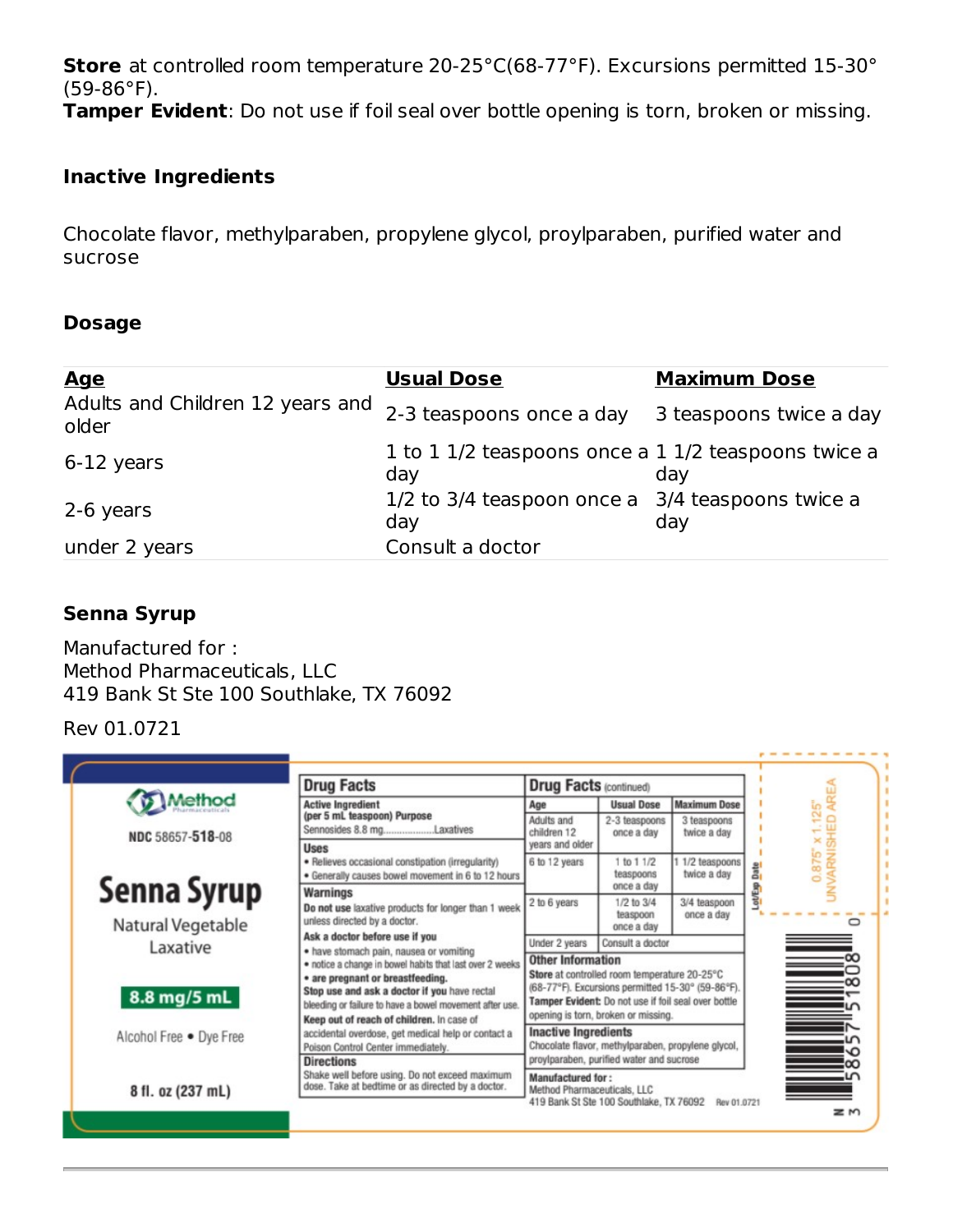**Store** at controlled room temperature 20-25°C(68-77°F). Excursions permitted 15-30° (59-86°F).

**Tamper Evident**: Do not use if foil seal over bottle opening is torn, broken or missing.

## **Inactive Ingredients**

Chocolate flavor, methylparaben, propylene glycol, proylparaben, purified water and sucrose

#### **Dosage**

| <u>Age</u>                                | <b>Usual Dose</b>                                          | <b>Maximum Dose</b>     |
|-------------------------------------------|------------------------------------------------------------|-------------------------|
| Adults and Children 12 years and<br>older | 2-3 teaspoons once a day                                   | 3 teaspoons twice a day |
| 6-12 years                                | 1 to 1 1/2 teaspoons once a 1 1/2 teaspoons twice a<br>day | day                     |
| 2-6 years                                 | 1/2 to 3/4 teaspoon once a 3/4 teaspoons twice a<br>day    | day                     |
| under 2 years                             | Consult a doctor                                           |                         |

## **Senna Syrup**

Manufactured for : Method Pharmaceuticals, LLC 419 Bank St Ste 100 Southlake, TX 76092

## Rev 01.0721

|                         | <b>Drug Facts</b>                                                                                                                                                                                                                                                                               | <b>Drug Facts (continued)</b>                                                                                                                                                                                                               |                                      |                                |         |                                  |
|-------------------------|-------------------------------------------------------------------------------------------------------------------------------------------------------------------------------------------------------------------------------------------------------------------------------------------------|---------------------------------------------------------------------------------------------------------------------------------------------------------------------------------------------------------------------------------------------|--------------------------------------|--------------------------------|---------|----------------------------------|
| Method                  | <b>Active Ingredient</b>                                                                                                                                                                                                                                                                        | Age                                                                                                                                                                                                                                         | <b>Usual Dose</b>                    | <b>Maximum Dose</b>            |         |                                  |
| NDC 58657-518-08        | (per 5 mL teaspoon) Purpose<br>Sennosides 8.8 mgLaxatives                                                                                                                                                                                                                                       | Adults and<br>children 12                                                                                                                                                                                                                   | 2-3 teaspoons<br>once a day          | 3 teaspoons<br>twice a day     |         |                                  |
|                         | <b>Uses</b><br>· Relieves occasional constipation (irregularity)<br>· Generally causes bowel movement in 6 to 12 hours                                                                                                                                                                          | vears and older<br>6 to 12 years                                                                                                                                                                                                            | 1 to 1 1/2<br>teaspoons              | 1 1/2 teaspoons<br>twice a day | Date    | 0.875" x 1.125"<br>/ARNISHED ARI |
| Senna Syrup             | Warnings                                                                                                                                                                                                                                                                                        |                                                                                                                                                                                                                                             | once a day                           |                                | Lot/Exp |                                  |
| Natural Vegetable       | Do not use laxative products for longer than 1 week<br>unless directed by a doctor.<br>Ask a doctor before use if you                                                                                                                                                                           | 2 to 6 years                                                                                                                                                                                                                                | 1/2 to 3/4<br>teaspoon<br>once a day | 3/4 teaspoon<br>once a day     |         |                                  |
|                         |                                                                                                                                                                                                                                                                                                 | Under 2 years                                                                                                                                                                                                                               | Consult a doctor                     |                                |         |                                  |
| Laxative<br>8.8 mg/5 mL | · have stomach pain, nausea or vomiting<br>· notice a change in bowel habits that last over 2 weeks<br>• are pregnant or breastfeeding.<br>Stop use and ask a doctor if you have rectal<br>bleeding or failure to have a bowel movement after use.<br>Keep out of reach of children. In case of | <b>Other Information</b><br>Store at controlled room temperature 20-25°C<br>(68-77°F). Excursions permitted 15-30° (59-86°F).<br>Tamper Evident: Do not use if foil seal over bottle<br>opening is torn, broken or missing.                 |                                      |                                |         | $\Rightarrow$                    |
| Alcohol Free . Dye Free | accidental overdose, get medical help or contact a<br>Poison Control Center immediately.<br><b>Directions</b>                                                                                                                                                                                   | <b>Inactive Ingredients</b><br>Chocolate flavor, methylparaben, propylene glycol,<br>proylparaben, purified water and sucrose<br>Manufactured for:<br>Method Pharmaceuticals, LLC<br>419 Bank St Ste 100 Southlake, TX 76092<br>Rev 01.0721 |                                      |                                |         |                                  |
| 8 fl. oz (237 mL)       | Shake well before using. Do not exceed maximum<br>dose. Take at bedtime or as directed by a doctor.                                                                                                                                                                                             |                                                                                                                                                                                                                                             |                                      |                                |         |                                  |